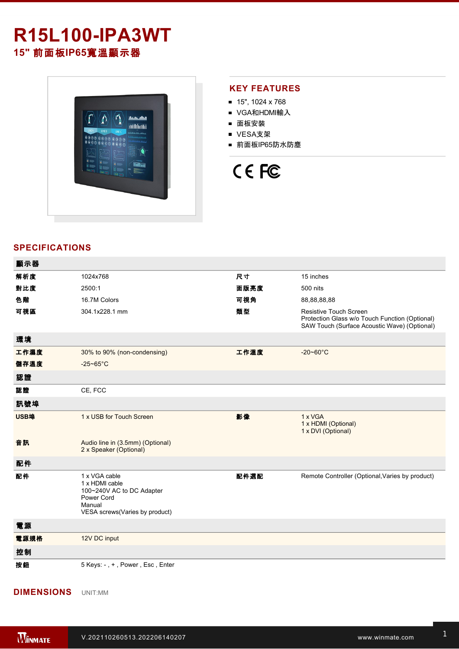## **R15L100-IPA3WT 15"** 前面板**IP65**寬溫顯示器



### **KEY FEATURES**

- 15", 1024 x 768
- VGA和HDMI輸入
- 面板安裝
- VESA支架
- 前面板IP65防水防塵

# CE FC

### **SPECIFICATIONS**

| 顯示器  |                                                                                                                        |      |                                                                                                                                 |
|------|------------------------------------------------------------------------------------------------------------------------|------|---------------------------------------------------------------------------------------------------------------------------------|
| 解析度  | 1024x768                                                                                                               | 尺寸   | 15 inches                                                                                                                       |
| 對比度  | 2500:1                                                                                                                 | 面版亮度 | 500 nits                                                                                                                        |
| 色階   | 16.7M Colors                                                                                                           | 可視角  | 88,88,88,88                                                                                                                     |
| 可視區  | 304.1x228.1 mm                                                                                                         | 類型   | <b>Resistive Touch Screen</b><br>Protection Glass w/o Touch Function (Optional)<br>SAW Touch (Surface Acoustic Wave) (Optional) |
| 環境   |                                                                                                                        |      |                                                                                                                                 |
| 工作濕度 | 30% to 90% (non-condensing)                                                                                            | 工作溫度 | $-20 - 60^{\circ}$ C                                                                                                            |
| 儲存溫度 | $-25 - 65$ °C                                                                                                          |      |                                                                                                                                 |
| 認證   |                                                                                                                        |      |                                                                                                                                 |
| 認證   | CE, FCC                                                                                                                |      |                                                                                                                                 |
| 訊號埠  |                                                                                                                        |      |                                                                                                                                 |
| USB埠 | 1 x USB for Touch Screen                                                                                               | 影像   | 1 x VGA<br>1 x HDMI (Optional)<br>1 x DVI (Optional)                                                                            |
| 音訊   | Audio line in (3.5mm) (Optional)<br>2 x Speaker (Optional)                                                             |      |                                                                                                                                 |
| 配件   |                                                                                                                        |      |                                                                                                                                 |
| 配件   | 1 x VGA cable<br>1 x HDMI cable<br>100~240V AC to DC Adapter<br>Power Cord<br>Manual<br>VESA screws(Varies by product) | 配件選配 | Remote Controller (Optional, Varies by product)                                                                                 |
| 電源   |                                                                                                                        |      |                                                                                                                                 |
| 電源規格 | 12V DC input                                                                                                           |      |                                                                                                                                 |
| 控制   |                                                                                                                        |      |                                                                                                                                 |
| 按鈕   | 5 Keys: -, +, Power, Esc, Enter                                                                                        |      |                                                                                                                                 |

**DIMENSIONS**  UNIT:MM